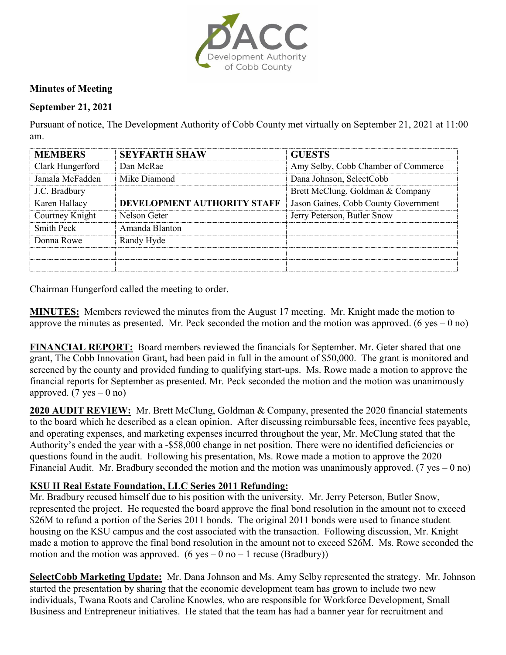

## **Minutes of Meeting**

## **September 21, 2021**

Pursuant of notice, The Development Authority of Cobb County met virtually on September 21, 2021 at 11:00 am.

| <b>MEMBERS</b>    | <b>SEVFARTH SHAW</b>        | <b>GUESTS</b>                        |
|-------------------|-----------------------------|--------------------------------------|
| Clark Hungerford  | Dan McRae                   | Amy Selby, Cobb Chamber of Commerce  |
| Jamala McFadden   | Mike Diamond                | Dana Johnson, SelectCobb             |
| J.C. Bradbury     |                             | Brett McClung, Goldman & Company     |
| Karen Hallacy     | DEVELOPMENT AUTHORITY STAFF | Jason Gaines, Cobb County Government |
| Courtney Knight   | Nelson Geter                | Jerry Peterson, Butler Snow          |
| <b>Smith Peck</b> | Amanda Blanton              |                                      |
| Donna Rowe        | Randy Hyde                  |                                      |
|                   |                             |                                      |
|                   |                             |                                      |

Chairman Hungerford called the meeting to order.

**MINUTES:** Members reviewed the minutes from the August 17 meeting. Mr. Knight made the motion to approve the minutes as presented. Mr. Peck seconded the motion and the motion was approved. (6 yes  $-$  0 no)

**FINANCIAL REPORT:** Board members reviewed the financials for September. Mr. Geter shared that one grant, The Cobb Innovation Grant, had been paid in full in the amount of \$50,000. The grant is monitored and screened by the county and provided funding to qualifying start-ups. Ms. Rowe made a motion to approve the financial reports for September as presented. Mr. Peck seconded the motion and the motion was unanimously approved.  $(7 \text{ yes} - 0 \text{ no})$ 

**2020 AUDIT REVIEW:** Mr. Brett McClung, Goldman & Company, presented the 2020 financial statements to the board which he described as a clean opinion. After discussing reimbursable fees, incentive fees payable, and operating expenses, and marketing expenses incurred throughout the year, Mr. McClung stated that the Authority's ended the year with a -\$58,000 change in net position. There were no identified deficiencies or questions found in the audit. Following his presentation, Ms. Rowe made a motion to approve the 2020 Financial Audit. Mr. Bradbury seconded the motion and the motion was unanimously approved. (7 yes – 0 no)

## **KSU II Real Estate Foundation, LLC Series 2011 Refunding:**

Mr. Bradbury recused himself due to his position with the university. Mr. Jerry Peterson, Butler Snow, represented the project. He requested the board approve the final bond resolution in the amount not to exceed \$26M to refund a portion of the Series 2011 bonds. The original 2011 bonds were used to finance student housing on the KSU campus and the cost associated with the transaction. Following discussion, Mr. Knight made a motion to approve the final bond resolution in the amount not to exceed \$26M. Ms. Rowe seconded the motion and the motion was approved. (6 yes – 0 no – 1 recuse (Bradbury))

**SelectCobb Marketing Update:** Mr. Dana Johnson and Ms. Amy Selby represented the strategy. Mr. Johnson started the presentation by sharing that the economic development team has grown to include two new individuals, Twana Roots and Caroline Knowles, who are responsible for Workforce Development, Small Business and Entrepreneur initiatives. He stated that the team has had a banner year for recruitment and